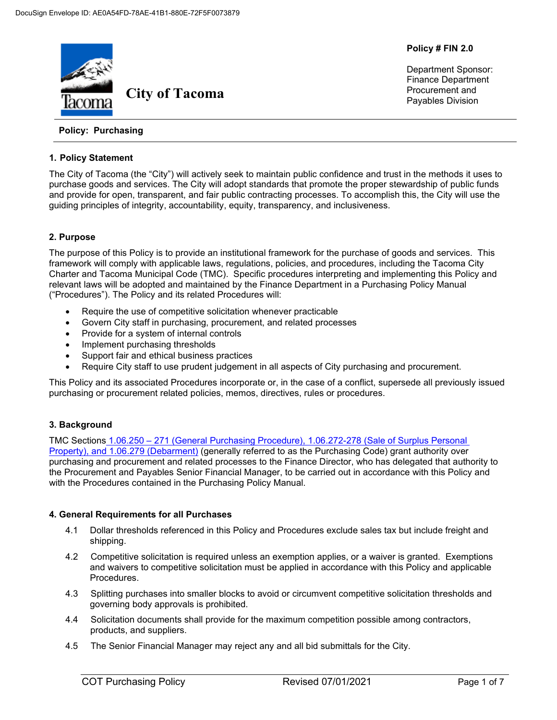

**Policy # FIN 2.0**

Department Sponsor: Finance Department Procurement and Payables Division

# **Policy: Purchasing**

## **1. Policy Statement**

The City of Tacoma (the "City") will actively seek to maintain public confidence and trust in the methods it uses to purchase goods and services. The City will adopt standards that promote the proper stewardship of public funds and provide for open, transparent, and fair public contracting processes. To accomplish this, the City will use the guiding principles of integrity, accountability, equity, transparency, and inclusiveness.

# **2. Purpose**

The purpose of this Policy is to provide an institutional framework for the purchase of goods and services. This framework will comply with applicable laws, regulations, policies, and procedures, including the Tacoma City Charter and Tacoma Municipal Code (TMC). Specific procedures interpreting and implementing this Policy and relevant laws will be adopted and maintained by the Finance Department in a Purchasing Policy Manual ("Procedures"). The Policy and its related Procedures will:

- Require the use of competitive solicitation whenever practicable
- Govern City staff in purchasing, procurement, and related processes
- Provide for a system of internal controls
- Implement purchasing thresholds
- Support fair and ethical business practices
- Require City staff to use prudent judgement in all aspects of City purchasing and procurement.

This Policy and its associated Procedures incorporate or, in the case of a conflict, supersede all previously issued purchasing or procurement related policies, memos, directives, rules or procedures.

# **3. Background**

TMC Sections 1.06.250 – 271 (General Purchasing Procedure), [1.06.272-278 \(Sale of Surplus Personal](https://cms.cityoftacoma.org/cityclerk/Files/MunicipalCode/Title01-AdministrationAndPersonnel.PDF#Chapter_1.06)  Property), [and 1.06.279 \(Debarment\)](https://cms.cityoftacoma.org/cityclerk/Files/MunicipalCode/Title01-AdministrationAndPersonnel.PDF#Chapter_1.06) (generally referred to as the Purchasing Code) grant authority over purchasing and procurement and related processes to the Finance Director, who has delegated that authority to the Procurement and Payables Senior Financial Manager, to be carried out in accordance with this Policy and with the Procedures contained in the Purchasing Policy Manual.

# **4. General Requirements for all Purchases**

- 4.1 Dollar thresholds referenced in this Policy and Procedures exclude sales tax but include freight and shipping.
- 4.2 Competitive solicitation is required unless an exemption applies, or a waiver is granted. Exemptions and waivers to competitive solicitation must be applied in accordance with this Policy and applicable Procedures.
- 4.3 Splitting purchases into smaller blocks to avoid or circumvent competitive solicitation thresholds and governing body approvals is prohibited.
- 4.4 Solicitation documents shall provide for the maximum competition possible among contractors, products, and suppliers.
- 4.5 The Senior Financial Manager may reject any and all bid submittals for the City.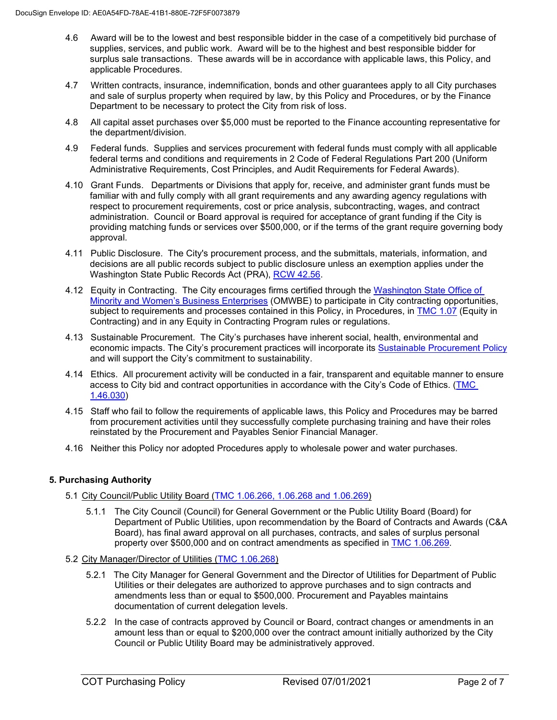- 4.6 Award will be to the lowest and best responsible bidder in the case of a competitively bid purchase of supplies, services, and public work. Award will be to the highest and best responsible bidder for surplus sale transactions. These awards will be in accordance with applicable laws, this Policy, and applicable Procedures.
- 4.7 Written contracts, insurance, indemnification, bonds and other guarantees apply to all City purchases and sale of surplus property when required by law, by this Policy and Procedures, or by the Finance Department to be necessary to protect the City from risk of loss.
- 4.8 All capital asset purchases over \$5,000 must be reported to the Finance accounting representative for the department/division.
- 4.9 Federal funds. Supplies and services procurement with federal funds must comply with all applicable federal terms and conditions and requirements in 2 Code of Federal Regulations Part 200 (Uniform Administrative Requirements, Cost Principles, and Audit Requirements for Federal Awards).
- 4.10 Grant Funds. Departments or Divisions that apply for, receive, and administer grant funds must be familiar with and fully comply with all grant requirements and any awarding agency regulations with respect to procurement requirements, cost or price analysis, subcontracting, wages, and contract administration. Council or Board approval is required for acceptance of grant funding if the City is providing matching funds or services over \$500,000, or if the terms of the grant require governing body approval.
- 4.11 Public Disclosure. The City's procurement process, and the submittals, materials, information, and decisions are all public records subject to public disclosure unless an exemption applies under the Washington State Public Records Act (PRA), [RCW 42.56.](https://app.leg.wa.gov/rcw/default.aspx?cite=42.56)
- 4.12 Equity in Contracting. The City encourages firms certified through the [Washington State Office of](https://omwbe.wa.gov/)  [Minority and Women's Business Enterprises](https://omwbe.wa.gov/) (OMWBE) to participate in City contracting opportunities, subiect to requirements and processes contained in this Policy, in Procedures, in **TMC 1.07** (Equity in Contracting) and in any Equity in Contracting Program rules or regulations.
- 4.13 Sustainable Procurement. The City's purchases have inherent social, health, environmental and economic impacts. The City's procurement practices will incorporate its [Sustainable Procurement Policy](https://www.cityoftacoma.org/government/city_departments/environmentalservices/office_of_environmental_policy_and_sustainability/green_living_map_and_resources/sustainable_purchasing) and will support the City's commitment to sustainability.
- 4.14 Ethics. All procurement activity will be conducted in a fair, transparent and equitable manner to ensure access to City bid and contract opportunities in accordance with the City's Code of Ethics. [\(TMC](https://cms.cityoftacoma.org/cityclerk/Files/MunicipalCode/Title01-AdministrationAndPersonnel.PDF#Chapter_1.46)  [1.46.030\)](https://cms.cityoftacoma.org/cityclerk/Files/MunicipalCode/Title01-AdministrationAndPersonnel.PDF#Chapter_1.46)
- 4.15 Staff who fail to follow the requirements of applicable laws, this Policy and Procedures may be barred from procurement activities until they successfully complete purchasing training and have their roles reinstated by the Procurement and Payables Senior Financial Manager.
- 4.16 Neither this Policy nor adopted Procedures apply to wholesale power and water purchases.

# **5. Purchasing Authority**

- 5.1 City Council/Public Utility Board [\(TMC 1.06.266, 1.06.268 and 1.06.269\)](https://cms.cityoftacoma.org/cityclerk/Files/MunicipalCode/Title01-AdministrationAndPersonnel.PDF#Chapter_1.06)
	- 5.1.1 The City Council (Council) for General Government or the Public Utility Board (Board) for Department of Public Utilities, upon recommendation by the Board of Contracts and Awards (C&A Board), has final award approval on all purchases, contracts, and sales of surplus personal property over \$500,000 and on contract amendments as specified in [TMC 1.06.269.](https://cms.cityoftacoma.org/cityclerk/Files/MunicipalCode/Title01-AdministrationAndPersonnel.PDF#Chapter_1.06)
- 5.2 City Manager/Director of Utilities [\(TMC 1.06.268\)](https://cms.cityoftacoma.org/cityclerk/Files/MunicipalCode/Title01-AdministrationAndPersonnel.PDF#Chapter_1.06)
	- 5.2.1 The City Manager for General Government and the Director of Utilities for Department of Public Utilities or their delegates are authorized to approve purchases and to sign contracts and amendments less than or equal to \$500,000. Procurement and Payables maintains documentation of current delegation levels.
	- 5.2.2 In the case of contracts approved by Council or Board, contract changes or amendments in an amount less than or equal to \$200,000 over the contract amount initially authorized by the City Council or Public Utility Board may be administratively approved.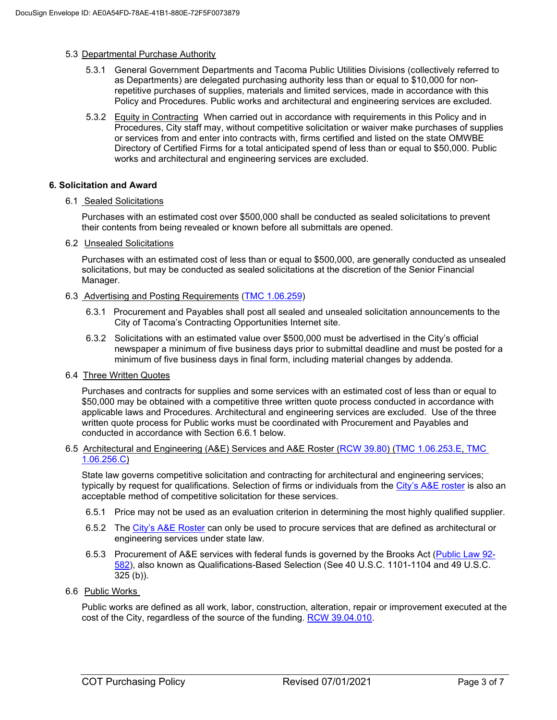## 5.3 Departmental Purchase Authority

- 5.3.1 General Government Departments and Tacoma Public Utilities Divisions (collectively referred to as Departments) are delegated purchasing authority less than or equal to \$10,000 for nonrepetitive purchases of supplies, materials and limited services, made in accordance with this Policy and Procedures. Public works and architectural and engineering services are excluded.
- 5.3.2 Equity in Contracting When carried out in accordance with requirements in this Policy and in Procedures, City staff may, without competitive solicitation or waiver make purchases of supplies or services from and enter into contracts with, firms certified and listed on the state OMWBE Directory of Certified Firms for a total anticipated spend of less than or equal to \$50,000. Public works and architectural and engineering services are excluded.

## **6. Solicitation and Award**

6.1 Sealed Solicitations

Purchases with an estimated cost over \$500,000 shall be conducted as sealed solicitations to prevent their contents from being revealed or known before all submittals are opened.

6.2 Unsealed Solicitations

Purchases with an estimated cost of less than or equal to \$500,000, are generally conducted as unsealed solicitations, but may be conducted as sealed solicitations at the discretion of the Senior Financial Manager.

- 6.3 Advertising and Posting Requirements [\(TMC 1.06.259\)](https://cms.cityoftacoma.org/cityclerk/Files/MunicipalCode/Title01-AdministrationAndPersonnel.PDF#Chapter_1.06)
	- 6.3.1 Procurement and Payables shall post all sealed and unsealed solicitation announcements to the City of Tacoma's Contracting Opportunities Internet site.
	- 6.3.2 Solicitations with an estimated value over \$500,000 must be advertised in the City's official newspaper a minimum of five business days prior to submittal deadline and must be posted for a minimum of five business days in final form, including material changes by addenda.
- 6.4 Three Written Quotes

Purchases and contracts for supplies and some services with an estimated cost of less than or equal to \$50,000 may be obtained with a competitive three written quote process conducted in accordance with applicable laws and Procedures. Architectural and engineering services are excluded. Use of the three written quote process for Public works must be coordinated with Procurement and Payables and conducted in accordance with Section 6.6.1 below.

## 6.5 Architectural and Engineering (A&E) Services and A&E Roster [\(RCW 39.80\)](https://app.leg.wa.gov/RCW/default.aspx?cite=39.80) [\(TMC 1.06.253.E,](https://cms.cityoftacoma.org/cityclerk/Files/MunicipalCode/Title01-AdministrationAndPersonnel.PDF#Chapter_1.06) [TMC](https://cms.cityoftacoma.org/cityclerk/Files/MunicipalCode/Title01-AdministrationAndPersonnel.pdf)  [1.06.256.C\)](https://cms.cityoftacoma.org/cityclerk/Files/MunicipalCode/Title01-AdministrationAndPersonnel.pdf)

State law governs competitive solicitation and contracting for architectural and engineering services; typically by request for qualifications. Selection of firms or individuals from the [City's A&E roster](https://www.cityoftacoma.org/government/city_departments/finance/procurement_and_payables_division/purchasing/architectural_and_engineering__a_e__roster) is also an acceptable method of competitive solicitation for these services.

- 6.5.1 Price may not be used as an evaluation criterion in determining the most highly qualified supplier.
- 6.5.2 The [City's A&E Roster](https://www.cityoftacoma.org/government/city_departments/finance/procurement_and_payables_division/purchasing/architectural_and_engineering__a_e__roster) can only be used to procure services that are defined as architectural or engineering services under state law.
- 6.5.3 Procurement of A&E services with federal funds is governed by the Brooks Act [\(Public Law 92-](https://www.govinfo.gov/content/pkg/STATUTE-86/pdf/STATUTE-86-Pg1278.pdf#page=2) [582\)](https://www.govinfo.gov/content/pkg/STATUTE-86/pdf/STATUTE-86-Pg1278.pdf#page=2), also known as Qualifications-Based Selection (See [40 U.S.C. 1101-1104](http://www.fhwa.dot.gov/programadmin/121205_40usc.cfm) and 49 U.S.C.  $325$  (b)).
- 6.6 Public Works

Public works are defined as all work, labor, construction, alteration, repair or improvement executed at the cost of the City, regardless of the source of the funding. [RCW 39.04.010.](https://app.leg.wa.gov/RCW/default.aspx?cite=39.04.010)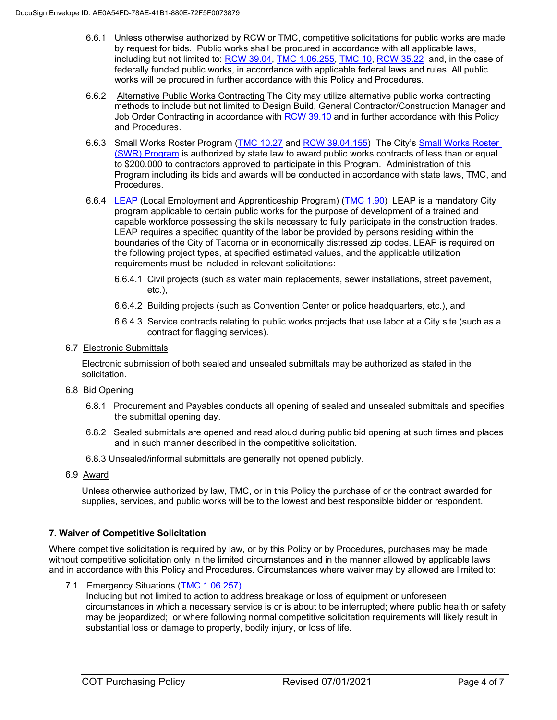- 6.6.1 Unless otherwise authorized by RCW or TMC, competitive solicitations for public works are made by request for bids. Public works shall be procured in accordance with all applicable laws, including but not limited to: [RCW 39.04,](https://app.leg.wa.gov/RCW/default.aspx?cite=39.04.010) [TMC 1.06.255,](https://cms.cityoftacoma.org/cityclerk/Files/MunicipalCode/Title01-AdministrationAndPersonnel.PDF#Chapter_1.06) [TMC 10,](https://cms.cityoftacoma.org/cityclerk/Files/MunicipalCode/Title10-PublicWorks.PDF) RCW [35.22](https://app.leg.wa.gov/rcw/default.aspx?cite=35.22) and, in the case of federally funded public works, in accordance with applicable federal laws and rules. All public works will be procured in further accordance with this Policy and Procedures.
- 6.6.2 Alternative Public Works Contracting The City may utilize alternative public works contracting methods to include but not limited to Design Build, General Contractor/Construction Manager and Job Order Contracting in accordance with [RCW 39.10](https://app.leg.wa.gov/RCW/default.aspx?cite=39.10) and in further accordance with this Policy and Procedures.
- 6.6.3 Small Works Roster Program [\(TMC 10.27](https://cms.cityoftacoma.org/cityclerk/Files/MunicipalCode/Title10-PublicWorks.PDF) and [RCW 39.04.155\)](https://apps.leg.wa.gov/RCW/default.aspx?cite=39.04.155) The City's [Small Works Roster](https://www.cityoftacoma.org/government/city_departments/finance/procurement_and_payables_division/purchasing/small_works_roster)  [\(SWR\) Program](https://www.cityoftacoma.org/government/city_departments/finance/procurement_and_payables_division/purchasing/small_works_roster) is authorized by state law to award public works contracts of less than or equal to \$200,000 to contractors approved to participate in this Program. Administration of this Program including its bids and awards will be conducted in accordance with state laws, TMC, and Procedures.
- 6.6.4 [LEAP](https://www.cityoftacoma.org/government/city_departments/community_and_economic_development/local_employment_apprenticeship_training_program) (Local Employment and Apprenticeship Program) [\(TMC 1.90\)](https://cms.cityoftacoma.org/cityclerk/Files/MunicipalCode/Title01-AdministrationAndPersonnel.PDF#Chapter_1.90) LEAP is a mandatory City program applicable to certain public works for the purpose of development of a trained and capable workforce possessing the skills necessary to fully participate in the construction trades. LEAP requires a specified quantity of the labor be provided by persons residing within the boundaries of the City of Tacoma or in economically distressed zip codes. LEAP is required on the following project types, at specified estimated values, and the applicable utilization requirements must be included in relevant solicitations:
	- 6.6.4.1 Civil projects (such as water main replacements, sewer installations, street pavement, etc.),
	- 6.6.4.2 Building projects (such as Convention Center or police headquarters, etc.), and
	- 6.6.4.3 Service contracts relating to public works projects that use labor at a City site (such as a contract for flagging services).

# 6.7 Electronic Submittals

Electronic submission of both sealed and unsealed submittals may be authorized as stated in the solicitation.

- 6.8 Bid Opening
	- 6.8.1 Procurement and Payables conducts all opening of sealed and unsealed submittals and specifies the submittal opening day.
	- 6.8.2 Sealed submittals are opened and read aloud during public bid opening at such times and places and in such manner described in the competitive solicitation.
	- 6.8.3 Unsealed/informal submittals are generally not opened publicly.
- 6.9 Award

Unless otherwise authorized by law, TMC, or in this Policy the purchase of or the contract awarded for supplies, services, and public works will be to the lowest and best responsible bidder or respondent.

# **7. Waiver of Competitive Solicitation**

Where competitive solicitation is required by law, or by this Policy or by Procedures, purchases may be made without competitive solicitation only in the limited circumstances and in the manner allowed by applicable laws and in accordance with this Policy and Procedures. Circumstances where waiver may by allowed are limited to:

7.1 Emergency Situations [\(TMC 1.06.257\)](https://cms.cityoftacoma.org/cityclerk/Files/MunicipalCode/Title01-AdministrationAndPersonnel.PDF#Chapter_1.06)

Including but not limited to action to address breakage or loss of equipment or unforeseen circumstances in which a necessary service is or is about to be interrupted; where public health or safety may be jeopardized; or where following normal competitive solicitation requirements will likely result in substantial loss or damage to property, bodily injury, or loss of life.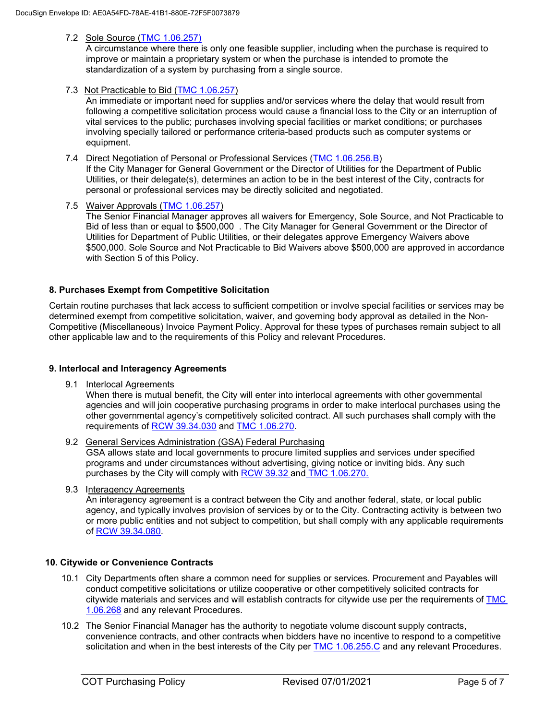# 7.2 Sole Source [\(TMC 1.06.257\)](https://cms.cityoftacoma.org/cityclerk/Files/MunicipalCode/Title01-AdministrationAndPersonnel.PDF#Chapter_1.06)

A circumstance where there is only one feasible supplier, including when the purchase is required to improve or maintain a proprietary system or when the purchase is intended to promote the standardization of a system by purchasing from a single source.

7.3 Not Practicable to Bid [\(TMC 1.06.257\)](https://cms.cityoftacoma.org/cityclerk/Files/MunicipalCode/Title01-AdministrationAndPersonnel.PDF#Chapter_1.06)

An immediate or important need for supplies and/or services where the delay that would result from following a competitive solicitation process would cause a financial loss to the City or an interruption of vital services to the public; purchases involving special facilities or market conditions; or purchases involving specially tailored or performance criteria-based products such as computer systems or equipment.

- 7.4 Direct Negotiation of Personal or Professional Services [\(TMC 1.06.256.B\)](https://cms.cityoftacoma.org/cityclerk/Files/MunicipalCode/Title01-AdministrationAndPersonnel.PDF#Chapter_1.06) If the City Manager for General Government or the Director of Utilities for the Department of Public Utilities, or their delegate(s), determines an action to be in the best interest of the City, contracts for personal or professional services may be directly solicited and negotiated.
- 7.5 Waiver Approvals [\(TMC 1.06.257\)](https://cms.cityoftacoma.org/cityclerk/Files/MunicipalCode/Title01-AdministrationAndPersonnel.PDF#Chapter_1.06) The Senior Financial Manager approves all waivers for Emergency, Sole Source, and Not Practicable to Bid of less than or equal to \$500,000 . The City Manager for General Government or the Director of Utilities for Department of Public Utilities, or their delegates approve Emergency Waivers above \$500,000. Sole Source and Not Practicable to Bid Waivers above \$500,000 are approved in accordance with Section 5 of this Policy.

# **8. Purchases Exempt from Competitive Solicitation**

Certain routine purchases that lack access to sufficient competition or involve special facilities or services may be determined exempt from competitive solicitation, waiver, and governing body approval as detailed in the Non-Competitive (Miscellaneous) Invoice Payment Policy. Approval for these types of purchases remain subject to all other applicable law and to the requirements of this Policy and relevant Procedures.

# **9. Interlocal and Interagency Agreements**

9.1 Interlocal Agreements

When there is mutual benefit, the City will enter into interlocal agreements with other governmental agencies and will join cooperative purchasing programs in order to make interlocal purchases using the other governmental agency's competitively solicited contract. All such purchases shall comply with the requirements of [RCW 39.34.030](https://app.leg.wa.gov/RCW/default.aspx?cite=39.34.030) and [TMC 1.06.270.](https://cms.cityoftacoma.org/cityclerk/Files/MunicipalCode/Title01-AdministrationAndPersonnel.PDF#Chapter_1.06)

# 9.2 General Services Administration (GSA) Federal Purchasing

GSA allows state and local governments to procure limited supplies and services under specified programs and under circumstances without advertising, giving notice or inviting bids. Any such purchases by the City will comply with [RCW](https://app.leg.wa.gov/rcw/default.aspx?cite=39.32) 39.32 and [TMC 1.06.270.](https://cms.cityoftacoma.org/cityclerk/Files/MunicipalCode/Title01-AdministrationAndPersonnel.PDF#Chapter_1.06)

9.3 Interagency Agreements

An interagency agreement is a contract between the City and another federal, state, or local public agency, and typically involves provision of services by or to the City. Contracting activity is between two or more public entities and not subject to competition, but shall comply with any applicable requirements of [RCW 39.34.080.](https://app.leg.wa.gov/RCW/default.aspx?cite=39.34.080)

# **10. Citywide or Convenience Contracts**

- 10.1 City Departments often share a common need for supplies or services. Procurement and Payables will conduct competitive solicitations or utilize cooperative or other competitively solicited contracts for citywide materials and services and will establish contracts for citywide use per the requirements of [TMC](https://cms.cityoftacoma.org/cityclerk/Files/MunicipalCode/Title01-AdministrationAndPersonnel.PDF#Chapter_1.06)  [1.06.268](https://cms.cityoftacoma.org/cityclerk/Files/MunicipalCode/Title01-AdministrationAndPersonnel.PDF#Chapter_1.06) and any relevant Procedures.
- 10.2 The Senior Financial Manager has the authority to negotiate volume discount supply contracts, convenience contracts, and other contracts when bidders have no incentive to respond to a competitive solicitation and when in the best interests of the City per [TMC 1.06.255.C](https://cms.cityoftacoma.org/cityclerk/Files/MunicipalCode/Title01-AdministrationAndPersonnel.PDF#Chapter_1.06) and any relevant Procedures.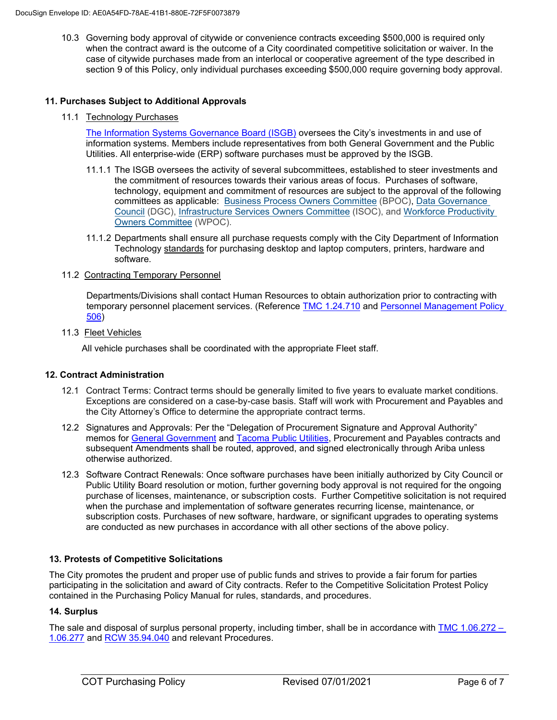10.3 Governing body approval of citywide or convenience contracts exceeding \$500,000 is required only when the contract award is the outcome of a City coordinated competitive solicitation or waiver. In the case of citywide purchases made from an interlocal or cooperative agreement of the type described in section 9 of this Policy, only individual purchases exceeding \$500,000 require governing body approval.

## **11. Purchases Subject to Additional Approvals**

11.1 Technology Purchases

[The Information Systems Governance Board \(ISGB\)](http://cityshare/Teams/IT/Govern/ISGB/default.aspx) oversees the City's investments in and use of information systems. Members include representatives from both General Government and the Public Utilities. All enterprise-wide (ERP) software purchases must be approved by the ISGB.

- 11.1.1 The ISGB oversees the activity of several subcommittees, established to steer investments and the commitment of resources towards their various areas of focus. Purchases of software, technology, equipment and commitment of resources are subject to the approval of the following committees as applicable: [Business Process Owners Committee](http://cityshare/Teams/IT/Govern/BPOC/) (BPOC), [Data Governance](http://cityshare/Teams/IT/Govern/Data/)  [Council](http://cityshare/Teams/IT/Govern/Data/) (DGC), [Infrastructure Services Owners Committee](http://cityshare/Teams/IT/Govern/ISOC/) (ISOC), and Workforce [Productivity](http://cityshare/Teams/IT/Govern/WPOC/)  [Owners Committee](http://cityshare/Teams/IT/Govern/WPOC/) (WPOC).
- 11.1.2 Departments shall ensure all purchase requests comply with the City Department of Information Technology standards for purchasing desktop and laptop computers, printers, hardware and software.

# 11.2 Contracting Temporary Personnel

Departments/Divisions shall contact Human Resources to obtain authorization prior to contracting with temporary personnel placement services. (Reference **TMC 1.24.710** and Personnel Management Policy [506\)](http://cityweb/Gnet/Departments/HR/Documents/PMPs/PMP%20506.pdf)

## 11.3 Fleet Vehicles

All vehicle purchases shall be coordinated with the appropriate Fleet staff.

## **12. Contract Administration**

- 12.1 Contract Terms: Contract terms should be generally limited to five years to evaluate market conditions. Exceptions are considered on a case-by-case basis. Staff will work with Procurement and Payables and the City Attorney's Office to determine the appropriate contract terms.
- 12.2 Signatures and Approvals: Per the "Delegation of Procurement Signature and Approval Authority" memos for [General Government](http://cityweb/Repository/Purchasing/Policy/GG_Delegation%20Memo_2021_Effective_10_15_2020.docx.pdf) and [Tacoma Public Utilities,](http://cityweb/Repository/Purchasing/Policy/TPU_Delegation_Memo_2021_Effective_10_15_2020.docx.pdf) Procurement and Payables contracts and subsequent Amendments shall be routed, approved, and signed electronically through Ariba unless otherwise authorized.
- 12.3 Software Contract Renewals: Once software purchases have been initially authorized by City Council or Public Utility Board resolution or motion, further governing body approval is not required for the ongoing purchase of licenses, maintenance, or subscription costs. Further Competitive solicitation is not required when the purchase and implementation of software generates recurring license, maintenance, or subscription costs. Purchases of new software, hardware, or significant upgrades to operating systems are conducted as new purchases in accordance with all other sections of the above policy.

# **13. Protests of Competitive Solicitations**

The City promotes the prudent and proper use of public funds and strives to provide a fair forum for parties participating in the solicitation and award of City contracts. Refer to the Competitive Solicitation Protest Policy contained in the Purchasing Policy Manual for rules, standards, and procedures.

## **14. Surplus**

The sale and disposal of surplus personal property, including timber, shall be in accordance with [TMC 1.06.272 –](https://cms.cityoftacoma.org/cityclerk/Files/MunicipalCode/Title01-AdministrationAndPersonnel.PDF#Chapter_1.06) [1.06.277](https://cms.cityoftacoma.org/cityclerk/Files/MunicipalCode/Title01-AdministrationAndPersonnel.PDF#Chapter_1.06) and [RCW 35.94.040](https://app.leg.wa.gov/rcw/default.aspx?cite=35.94.040) and relevant Procedures.